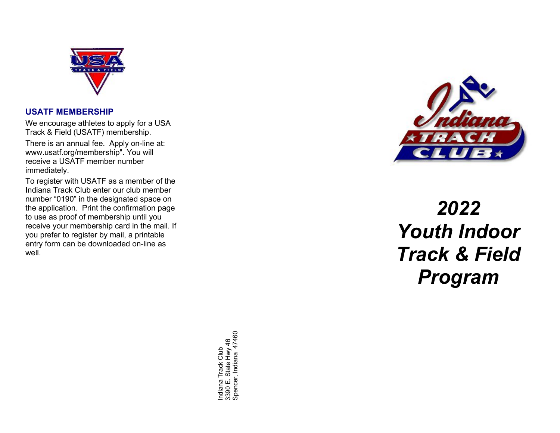

#### **USATF MEMBERSHIP**

We encourage athletes to apply for a USA Track & Field (USATF) membership.

There is an annual fee. Apply on -line at: www.usatf.org/membership". You will receive a USATF member number immediately.

To register with USATF as a member of the Indiana Track Club enter our club member number "0190" in the designated space on the application. Print the confirmation page to use as proof of membership until you receive your membership card in the mail. If you prefer to register by mail, a printable entry form can be downloaded on -line as well.

> Indiana Track Club<br>3390 E. State Hwy 46<br>Spencer, Indiana 47460 Spencer, Indiana 47460 3390 E. State Hwy 46 Indiana Track Club



# *20 2 2 Youth Indoor Track & Field Program*